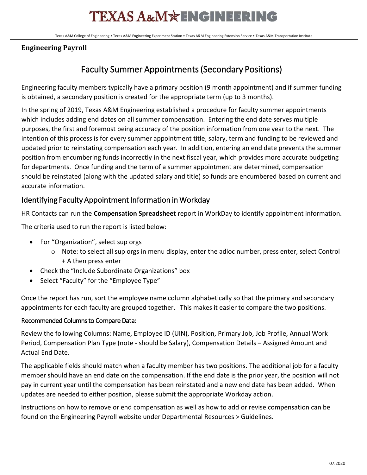# **TEXAS A&M\*ENGINEERING**

Texas A&M College of Engineering • Texas A&M Engineering Experiment Station • Texas A&M Engineering Extension Service • Texas A&M Transportation Institute

#### **Engineering Payroll**

### Faculty Summer Appointments (Secondary Positions)

Engineering faculty members typically have a primary position (9 month appointment) and if summer funding is obtained, a secondary position is created for the appropriate term (up to 3 months).

In the spring of 2019, Texas A&M Engineering established a procedure for faculty summer appointments which includes adding end dates on all summer compensation. Entering the end date serves multiple purposes, the first and foremost being accuracy of the position information from one year to the next. The intention of this process is for every summer appointment title, salary, term and funding to be reviewed and updated prior to reinstating compensation each year. In addition, entering an end date prevents the summer position from encumbering funds incorrectly in the next fiscal year, which provides more accurate budgeting for departments. Once funding and the term of a summer appointment are determined, compensation should be reinstated (along with the updated salary and title) so funds are encumbered based on current and accurate information.

### Identifying Faculty Appointment Information in Workday

HR Contacts can run the **Compensation Spreadsheet** report in WorkDay to identify appointment information.

The criteria used to run the report is listed below:

- For "Organization", select sup orgs
	- $\circ$  Note: to select all sup orgs in menu display, enter the adloc number, press enter, select Control + A then press enter
- Check the "Include Subordinate Organizations" box
- Select "Faculty" for the "Employee Type"

Once the report has run, sort the employee name column alphabetically so that the primary and secondary appointments for each faculty are grouped together. This makes it easier to compare the two positions.

#### Recommended Columns to Compare Data:

Review the following Columns: Name, Employee ID (UIN), Position, Primary Job, Job Profile, Annual Work Period, Compensation Plan Type (note - should be Salary), Compensation Details – Assigned Amount and Actual End Date.

The applicable fields should match when a faculty member has two positions. The additional job for a faculty member should have an end date on the compensation. If the end date is the prior year, the position will not pay in current year until the compensation has been reinstated and a new end date has been added. When updates are needed to either position, please submit the appropriate Workday action.

Instructions on how to remove or end compensation as well as how to add or revise compensation can be found on the Engineering Payroll website under Departmental Resources > Guidelines.